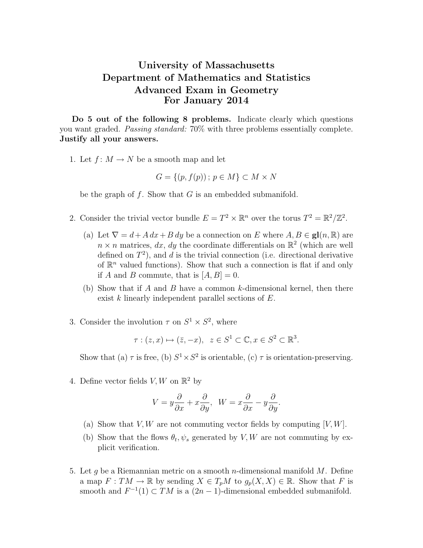## University of Massachusetts Department of Mathematics and Statistics Advanced Exam in Geometry For January 2014

Do 5 out of the following 8 problems. Indicate clearly which questions you want graded. Passing standard: 70% with three problems essentially complete. Justify all your answers.

1. Let  $f: M \to N$  be a smooth map and let

$$
G = \{(p, f(p))\colon p \in M\} \subset M \times N
$$

be the graph of  $f$ . Show that  $G$  is an embedded submanifold.

- 2. Consider the trivial vector bundle  $E = T^2 \times \mathbb{R}^n$  over the torus  $T^2 = \mathbb{R}^2/\mathbb{Z}^2$ .
	- (a) Let  $\nabla = d + A dx + B dy$  be a connection on E where  $A, B \in \mathbf{gl}(n, \mathbb{R})$  are  $n \times n$  matrices, dx, dy the coordinate differentials on  $\mathbb{R}^2$  (which are well defined on  $T^2$ ), and d is the trivial connection (i.e. directional derivative of  $\mathbb{R}^n$  valued functions). Show that such a connection is flat if and only if A and B commute, that is  $[A, B] = 0$ .
	- (b) Show that if A and B have a common k-dimensional kernel, then there exist k linearly independent parallel sections of E.
- 3. Consider the involution  $\tau$  on  $S^1 \times S^2$ , where

 $\tau : (z, x) \mapsto (\bar{z}, -x), \ z \in S^1 \subset \mathbb{C}, x \in S^2 \subset \mathbb{R}^3.$ 

Show that (a)  $\tau$  is free, (b)  $S^1 \times S^2$  is orientable, (c)  $\tau$  is orientation-preserving.

4. Define vector fields  $V, W$  on  $\mathbb{R}^2$  by

$$
V = y\frac{\partial}{\partial x} + x\frac{\partial}{\partial y}, \quad W = x\frac{\partial}{\partial x} - y\frac{\partial}{\partial y}.
$$

- (a) Show that  $V, W$  are not commuting vector fields by computing  $[V, W]$ .
- (b) Show that the flows  $\theta_t$ ,  $\psi_s$  generated by V, W are not commuting by explicit verification.
- 5. Let g be a Riemannian metric on a smooth *n*-dimensional manifold  $M$ . Define a map  $F: TM \to \mathbb{R}$  by sending  $X \in T_pM$  to  $g_p(X, X) \in \mathbb{R}$ . Show that F is smooth and  $F^{-1}(1) \subset TM$  is a  $(2n-1)$ -dimensional embedded submanifold.